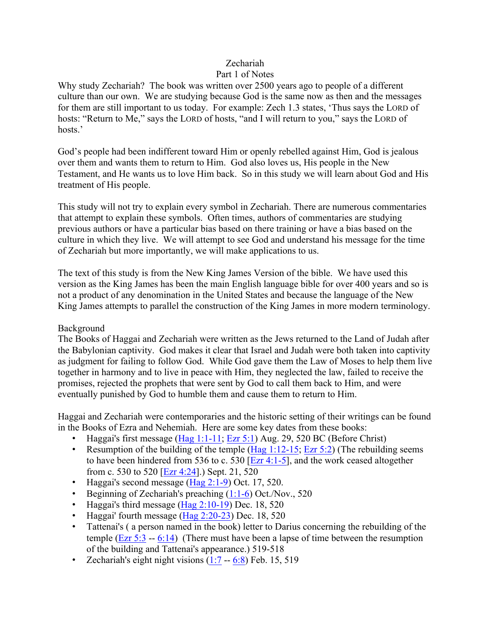### Zechariah

#### Part 1 of Notes

Why study Zechariah? The book was written over 2500 years ago to people of a different culture than our own. We are studying because God is the same now as then and the messages for them are still important to us today. For example: Zech 1.3 states, 'Thus says the LORD of hosts: "Return to Me," says the LORD of hosts, "and I will return to you," says the LORD of hosts.'

God's people had been indifferent toward Him or openly rebelled against Him, God is jealous over them and wants them to return to Him. God also loves us, His people in the New Testament, and He wants us to love Him back. So in this study we will learn about God and His treatment of His people.

This study will not try to explain every symbol in Zechariah. There are numerous commentaries that attempt to explain these symbols. Often times, authors of commentaries are studying previous authors or have a particular bias based on there training or have a bias based on the culture in which they live. We will attempt to see God and understand his message for the time of Zechariah but more importantly, we will make applications to us.

The text of this study is from the New King James Version of the bible. We have used this version as the King James has been the main English language bible for over 400 years and so is not a product of any denomination in the United States and because the language of the New King James attempts to parallel the construction of the King James in more modern terminology.

#### Background

The Books of Haggai and Zechariah were written as the Jews returned to the Land of Judah after the Babylonian captivity. God makes it clear that Israel and Judah were both taken into captivity as judgment for failing to follow God. While God gave them the Law of Moses to help them live together in harmony and to live in peace with Him, they neglected the law, failed to receive the promises, rejected the prophets that were sent by God to call them back to Him, and were eventually punished by God to humble them and cause them to return to Him.

Haggai and Zechariah were contemporaries and the historic setting of their writings can be found in the Books of Ezra and Nehemiah. Here are some key dates from these books:

- Haggai's first message (Hag 1:1-11; Ezr 5:1) Aug. 29, 520 BC (Before Christ)
- Resumption of the building of the temple  $(Hag 1:12-15; Ezr 5:2)$  (The rebuilding seems to have been hindered from 536 to c. 530  $\boxed{\text{Exr } 4:1-5}$ , and the work ceased altogether from c. 530 to 520 [Ezr 4:24].) Sept. 21, 520
- Haggai's second message (Hag 2:1-9) Oct. 17, 520.
- Beginning of Zechariah's preaching  $(1:1-6)$  Oct./Nov., 520
- Haggai's third message  $(Hag 2:10-19)$  Dec. 18, 520
- Haggai' fourth message (Hag 2:20-23) Dec. 18, 520
- Tattenai's ( a person named in the book) letter to Darius concerning the rebuilding of the temple (Ezr  $5:3 - 6:14$ ) (There must have been a lapse of time between the resumption of the building and Tattenai's appearance.) 519-518
- Zechariah's eight night visions  $(1:7 6:8)$  Feb. 15, 519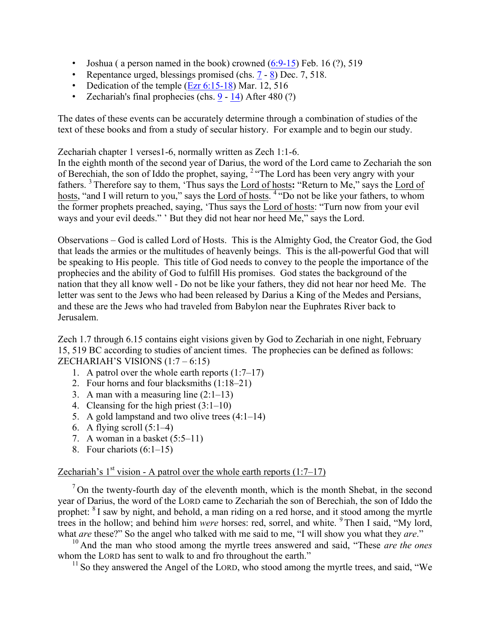- Joshua (a person named in the book) crowned  $(6:9-15)$  Feb. 16  $(?)$ , 519
- Repentance urged, blessings promised (chs.  $7 8$ ) Dec. 7, 518.
- Dedication of the temple  $(Ezr 6:15-18)$  Mar. 12, 516
- Zechariah's final prophecies (chs. 9 14) After 480 (?)

The dates of these events can be accurately determine through a combination of studies of the text of these books and from a study of secular history. For example and to begin our study.

Zechariah chapter 1 verses1-6, normally written as Zech 1:1-6.

In the eighth month of the second year of Darius, the word of the Lord came to Zechariah the son of Berechiah, the son of Iddo the prophet, saying, <sup>2</sup> "The Lord has been very angry with your fathers. <sup>3</sup> Therefore say to them, 'Thus says the Lord of hosts**:** "Return to Me," says the Lord of hosts, "and I will return to you," says the Lord of hosts. <sup>4</sup> "Do not be like your fathers, to whom the former prophets preached, saying, 'Thus says the Lord of hosts: "Turn now from your evil ways and your evil deeds." ' But they did not hear nor heed Me," says the Lord.

Observations – God is called Lord of Hosts. This is the Almighty God, the Creator God, the God that leads the armies or the multitudes of heavenly beings. This is the all-powerful God that will be speaking to His people. This title of God needs to convey to the people the importance of the prophecies and the ability of God to fulfill His promises. God states the background of the nation that they all know well - Do not be like your fathers, they did not hear nor heed Me. The letter was sent to the Jews who had been released by Darius a King of the Medes and Persians, and these are the Jews who had traveled from Babylon near the Euphrates River back to Jerusalem.

Zech 1.7 through 6.15 contains eight visions given by God to Zechariah in one night, February 15, 519 BC according to studies of ancient times. The prophecies can be defined as follows: ZECHARIAH'S VISIONS  $(1:7-6:15)$ 

- 1. A patrol over the whole earth reports (1:7–17)
- 2. Four horns and four blacksmiths (1:18–21)
- 3. A man with a measuring line  $(2:1-13)$
- 4. Cleansing for the high priest (3:1–10)
- 5. A gold lampstand and two olive trees (4:1–14)
- 6. A flying scroll  $(5:1-4)$
- 7. A woman in a basket (5:5–11)
- 8. Four chariots (6:1–15)

#### Zechariah's  $1<sup>st</sup>$  vision - A patrol over the whole earth reports (1:7–17)

 $<sup>7</sup>$  On the twenty-fourth day of the eleventh month, which is the month Shebat, in the second</sup> year of Darius, the word of the LORD came to Zechariah the son of Berechiah, the son of Iddo the prophet: <sup>8</sup> I saw by night, and behold, a man riding on a red horse, and it stood among the myrtle trees in the hollow; and behind him *were* horses: red, sorrel, and white. <sup>9</sup> Then I said, "My lord, what *are* these?" So the angel who talked with me said to me, "I will show you what they *are*."

<sup>10</sup> And the man who stood among the myrtle trees answered and said, "These *are the ones* whom the LORD has sent to walk to and fro throughout the earth."

 $11$  So they answered the Angel of the LORD, who stood among the myrtle trees, and said, "We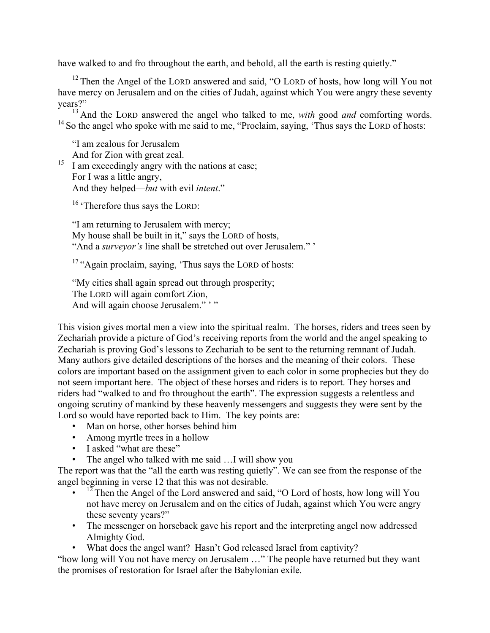have walked to and fro throughout the earth, and behold, all the earth is resting quietly."

 $12$  Then the Angel of the LORD answered and said, "O LORD of hosts, how long will You not have mercy on Jerusalem and on the cities of Judah, against which You were angry these seventy years?"

<sup>13</sup> And the LORD answered the angel who talked to me, *with* good *and* comforting words.  $14$  So the angel who spoke with me said to me, "Proclaim, saying, 'Thus says the LORD of hosts:

"I am zealous for Jerusalem And for Zion with great zeal.

 $15$  I am exceedingly angry with the nations at ease; For I was a little angry, And they helped—*but* with evil *intent*."

<sup>16</sup> 'Therefore thus says the LORD:

"I am returning to Jerusalem with mercy; My house shall be built in it," says the LORD of hosts, "And a *surveyor's* line shall be stretched out over Jerusalem." '

<sup>17</sup> "Again proclaim, saying, 'Thus says the LORD of hosts:

"My cities shall again spread out through prosperity; The LORD will again comfort Zion, And will again choose Jerusalem."

This vision gives mortal men a view into the spiritual realm. The horses, riders and trees seen by Zechariah provide a picture of God's receiving reports from the world and the angel speaking to Zechariah is proving God's lessons to Zechariah to be sent to the returning remnant of Judah. Many authors give detailed descriptions of the horses and the meaning of their colors. These colors are important based on the assignment given to each color in some prophecies but they do not seem important here. The object of these horses and riders is to report. They horses and riders had "walked to and fro throughout the earth". The expression suggests a relentless and ongoing scrutiny of mankind by these heavenly messengers and suggests they were sent by the Lord so would have reported back to Him. The key points are:

- Man on horse, other horses behind him
- Among myrtle trees in a hollow
- I asked "what are these"
- The angel who talked with me said ... I will show you

The report was that the "all the earth was resting quietly". We can see from the response of the angel beginning in verse 12 that this was not desirable.

- $\cdot$  <sup>12</sup> Then the Angel of the Lord answered and said, "O Lord of hosts, how long will You not have mercy on Jerusalem and on the cities of Judah, against which You were angry these seventy years?"
- The messenger on horseback gave his report and the interpreting angel now addressed Almighty God.
- What does the angel want? Hasn't God released Israel from captivity?

"how long will You not have mercy on Jerusalem …" The people have returned but they want the promises of restoration for Israel after the Babylonian exile.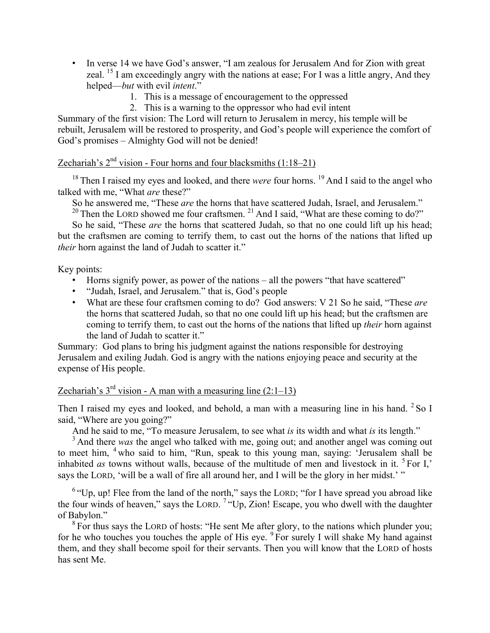- In verse 14 we have God's answer, "I am zealous for Jerusalem And for Zion with great zeal. <sup>15</sup> I am exceedingly angry with the nations at ease; For I was a little angry, And they helped—*but* with evil *intent*."
	- 1. This is a message of encouragement to the oppressed
	- 2. This is a warning to the oppressor who had evil intent

Summary of the first vision: The Lord will return to Jerusalem in mercy, his temple will be rebuilt, Jerusalem will be restored to prosperity, and God's people will experience the comfort of God's promises – Almighty God will not be denied!

# Zechariah's  $2<sup>nd</sup>$  vision - Four horns and four blacksmiths  $(1:18-21)$

<sup>18</sup> Then I raised my eyes and looked, and there *were* four horns.<sup>19</sup> And I said to the angel who talked with me, "What *are* these?"

So he answered me, "These *are* the horns that have scattered Judah, Israel, and Jerusalem." <sup>20</sup> Then the LORD showed me four craftsmen.<sup>21</sup> And I said, "What are these coming to do?"

So he said, "These *are* the horns that scattered Judah, so that no one could lift up his head; but the craftsmen are coming to terrify them, to cast out the horns of the nations that lifted up *their* horn against the land of Judah to scatter it."

Key points:

- Horns signify power, as power of the nations all the powers "that have scattered"
- "Judah, Israel, and Jerusalem." that is, God's people
- What are these four craftsmen coming to do? God answers: V 21 So he said, "These *are* the horns that scattered Judah, so that no one could lift up his head; but the craftsmen are coming to terrify them, to cast out the horns of the nations that lifted up *their* horn against the land of Judah to scatter it."

Summary: God plans to bring his judgment against the nations responsible for destroying Jerusalem and exiling Judah. God is angry with the nations enjoying peace and security at the expense of His people.

### Zechariah's  $3^{rd}$  vision - A man with a measuring line  $(2:1-13)$

Then I raised my eyes and looked, and behold, a man with a measuring line in his hand.  $2$  So I said, "Where are you going?"

And he said to me, "To measure Jerusalem, to see what *is* its width and what *is* its length."

<sup>3</sup> And there *was* the angel who talked with me, going out; and another angel was coming out to meet him, <sup>4</sup> who said to him, "Run, speak to this young man, saying: 'Jerusalem shall be inhabited *as* towns without walls, because of the multitude of men and livestock in it. <sup>5</sup> For I,' says the LORD, 'will be a wall of fire all around her, and I will be the glory in her midst.' "

 $6$  "Up, up! Flee from the land of the north," says the LORD; "for I have spread you abroad like the four winds of heaven," says the LORD. <sup>7</sup> "Up, Zion! Escape, you who dwell with the daughter of Babylon."

 $8$  For thus says the LORD of hosts: "He sent Me after glory, to the nations which plunder you; for he who touches you touches the apple of His eye.  $9\overline{F}$  for surely I will shake My hand against them, and they shall become spoil for their servants. Then you will know that the LORD of hosts has sent Me.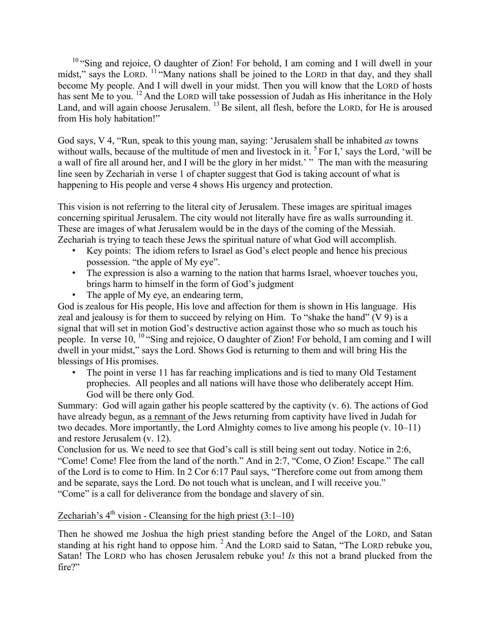<sup>10</sup> "Sing and rejoice, O daughter of Zion! For behold, I am coming and I will dwell in your midst," says the LORD. <sup>11</sup> "Many nations shall be joined to the LORD in that day, and they shall become My people. And I will dwell in your midst. Then you will know that the LORD of hosts has sent Me to you. <sup>12</sup> And the LORD will take possession of Judah as His inheritance in the Holy Land, and will again choose Jerusalem. <sup>13</sup> Be silent, all flesh, before the LORD, for He is aroused from His holy habitation!"

God says, V 4, "Run, speak to this young man, saying: 'Jerusalem shall be inhabited *as* towns without walls, because of the multitude of men and livestock in it. <sup>5</sup> For I,' says the Lord, 'will be a wall of fire all around her, and I will be the glory in her midst.' " The man with the measuring line seen by Zechariah in verse 1 of chapter suggest that God is taking account of what is happening to His people and verse 4 shows His urgency and protection.

This vision is not referring to the literal city of Jerusalem. These images are spiritual images concerning spiritual Jerusalem. The city would not literally have fire as walls surrounding it. These are images of what Jerusalem would be in the days of the coming of the Messiah. Zechariah is trying to teach these Jews the spiritual nature of what God will accomplish.

- Key points: The idiom refers to Israel as God's elect people and hence his precious possession. "the apple of My eye".
- The expression is also a warning to the nation that harms Israel, whoever touches you, brings harm to himself in the form of God's judgment
- The apple of My eye, an endearing term,

God is zealous for His people, His love and affection for them is shown in His language. His zeal and jealousy is for them to succeed by relying on Him. To "shake the hand" (V 9) is a signal that will set in motion God's destructive action against those who so much as touch his people. In verse 10, <sup>10</sup> "Sing and rejoice, O daughter of Zion! For behold, I am coming and I will dwell in your midst," says the Lord. Shows God is returning to them and will bring His the blessings of His promises.

The point in verse 11 has far reaching implications and is tied to many Old Testament prophecies. All peoples and all nations will have those who deliberately accept Him. God will be there only God.

Summary: God will again gather his people scattered by the captivity (v. 6). The actions of God have already begun, as a remnant of the Jews returning from captivity have lived in Judah for two decades. More importantly, the Lord Almighty comes to live among his people (v. 10–11) and restore Jerusalem (v. 12).

Conclusion for us. We need to see that God's call is still being sent out today. Notice in 2:6, "Come! Come! Flee from the land of the north." And in 2:7, "Come, O Zion! Escape." The call of the Lord is to come to Him. In 2 Cor 6:17 Paul says, "Therefore come out from among them and be separate, says the Lord. Do not touch what is unclean, and I will receive you." "Come" is a call for deliverance from the bondage and slavery of sin.

## Zechariah's  $4<sup>th</sup>$  vision - Cleansing for the high priest (3:1–10)

Then he showed me Joshua the high priest standing before the Angel of the LORD, and Satan standing at his right hand to oppose him. <sup>2</sup> And the LORD said to Satan, "The LORD rebuke you, Satan! The LORD who has chosen Jerusalem rebuke you! *Is* this not a brand plucked from the fire?"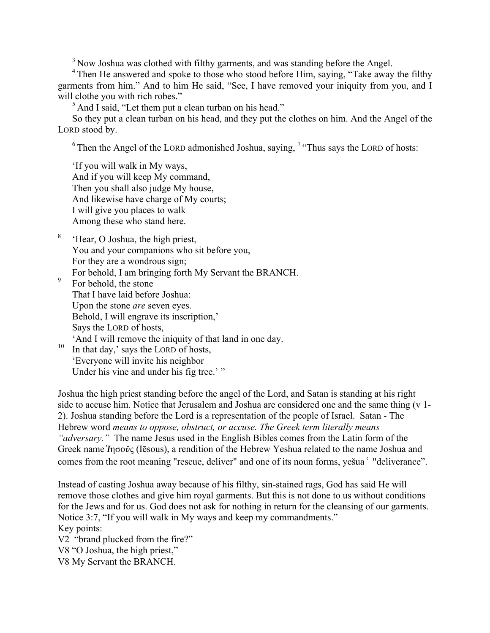<sup>3</sup> Now Joshua was clothed with filthy garments, and was standing before the Angel.

<sup>4</sup> Then He answered and spoke to those who stood before Him, saying, "Take away the filthy garments from him." And to him He said, "See, I have removed your iniquity from you, and I will clothe you with rich robes."

<sup>5</sup> And I said, "Let them put a clean turban on his head."

So they put a clean turban on his head, and they put the clothes on him. And the Angel of the LORD stood by.

 $6$  Then the Angel of the LORD admonished Joshua, saying,  $7$  "Thus says the LORD of hosts:

'If you will walk in My ways, And if you will keep My command, Then you shall also judge My house, And likewise have charge of My courts; I will give you places to walk Among these who stand here.

- <sup>8</sup> 'Hear, O Joshua, the high priest, You and your companions who sit before you, For they are a wondrous sign; For behold, I am bringing forth My Servant the BRANCH.
- <sup>9</sup> For behold, the stone That I have laid before Joshua: Upon the stone *are* seven eyes. Behold, I will engrave its inscription,' Says the LORD of hosts, 'And I will remove the iniquity of that land in one day.
- $\frac{10}{10}$  In that day,' says the LORD of hosts, 'Everyone will invite his neighbor Under his vine and under his fig tree.' "

Joshua the high priest standing before the angel of the Lord, and Satan is standing at his right side to accuse him. Notice that Jerusalem and Joshua are considered one and the same thing (v 1- 2). Joshua standing before the Lord is a representation of the people of Israel. Satan - The Hebrew word *means to oppose, obstruct, or accuse. The Greek term literally means "adversary."* The name Jesus used in the English Bibles comes from the Latin form of the Greek name **Ἰ**ησο**ῦ**ς (Iēsous), a rendition of the Hebrew Yeshua related to the name Joshua and comes from the root meaning "rescue, deliver" and one of its noun forms, yešua 'deliverance".

Instead of casting Joshua away because of his filthy, sin-stained rags, God has said He will remove those clothes and give him royal garments. But this is not done to us without conditions for the Jews and for us. God does not ask for nothing in return for the cleansing of our garments. Notice 3:7, "If you will walk in My ways and keep my commandments." Key points: V2 "brand plucked from the fire?" V8 "O Joshua, the high priest," V8 My Servant the BRANCH.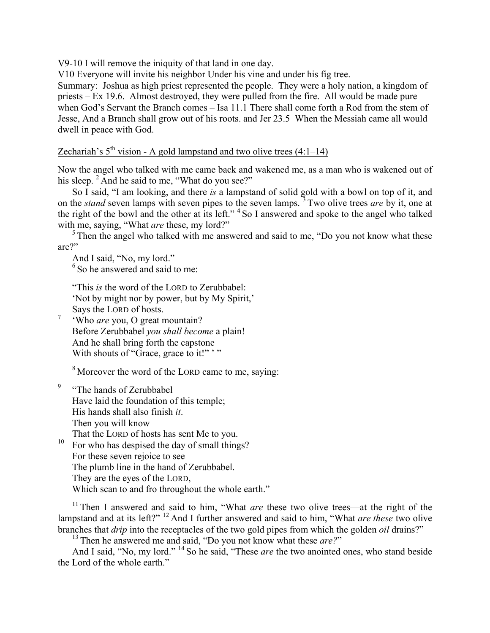V9-10 I will remove the iniquity of that land in one day.

V10 Everyone will invite his neighbor Under his vine and under his fig tree.

Summary: Joshua as high priest represented the people. They were a holy nation, a kingdom of priests – Ex 19.6. Almost destroyed, they were pulled from the fire. All would be made pure when God's Servant the Branch comes – Isa 11.1 There shall come forth a Rod from the stem of Jesse, And a Branch shall grow out of his roots. and Jer 23.5 When the Messiah came all would dwell in peace with God.

## Zechariah's  $5<sup>th</sup>$  vision - A gold lampstand and two olive trees (4:1–14)

Now the angel who talked with me came back and wakened me, as a man who is wakened out of his sleep.  $2$  And he said to me, "What do you see?"

So I said, "I am looking, and there *is* a lampstand of solid gold with a bowl on top of it, and on the *stand* seven lamps with seven pipes to the seven lamps. <sup>3</sup> Two olive trees *are* by it, one at the right of the bowl and the other at its left."<sup>4</sup> So I answered and spoke to the angel who talked with me, saying, "What *are* these, my lord?"

 $<sup>5</sup>$ Then the angel who talked with me answered and said to me, "Do you not know what these</sup> are?"

And I said, "No, my lord."

 $6$  So he answered and said to me:

"This *is* the word of the LORD to Zerubbabel: 'Not by might nor by power, but by My Spirit,' Says the LORD of hosts.

<sup>7</sup> 'Who *are* you, O great mountain? Before Zerubbabel *you shall become* a plain! And he shall bring forth the capstone With shouts of "Grace, grace to it!" '"

<sup>8</sup> Moreover the word of the LORD came to me, saying:

<sup>9</sup> "The hands of Zerubbabel" Have laid the foundation of this temple; His hands shall also finish *it*. Then you will know That the LORD of hosts has sent Me to you.

<sup>10</sup> For who has despised the day of small things? For these seven rejoice to see The plumb line in the hand of Zerubbabel. They are the eyes of the LORD, Which scan to and fro throughout the whole earth."

<sup>11</sup> Then I answered and said to him, "What *are* these two olive trees—at the right of the lampstand and at its left?" <sup>12</sup> And I further answered and said to him, "What *are these* two olive branches that *drip* into the receptacles of the two gold pipes from which the golden *oil* drains?"

<sup>13</sup> Then he answered me and said, "Do you not know what these *are?*"

And I said, "No, my lord." <sup>14</sup> So he said, "These *are* the two anointed ones, who stand beside the Lord of the whole earth."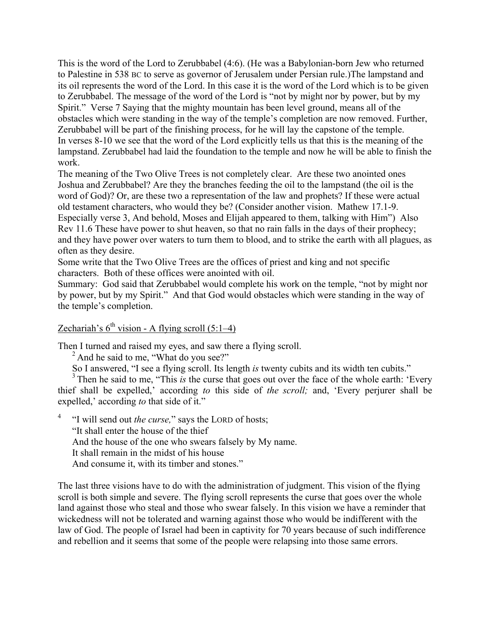This is the word of the Lord to Zerubbabel (4:6). (He was a Babylonian-born Jew who returned to Palestine in 538 BC to serve as governor of Jerusalem under Persian rule.)The lampstand and its oil represents the word of the Lord. In this case it is the word of the Lord which is to be given to Zerubbabel. The message of the word of the Lord is "not by might nor by power, but by my Spirit." Verse 7 Saying that the mighty mountain has been level ground, means all of the obstacles which were standing in the way of the temple's completion are now removed. Further, Zerubbabel will be part of the finishing process, for he will lay the capstone of the temple. In verses 8-10 we see that the word of the Lord explicitly tells us that this is the meaning of the lampstand. Zerubbabel had laid the foundation to the temple and now he will be able to finish the work.

The meaning of the Two Olive Trees is not completely clear. Are these two anointed ones Joshua and Zerubbabel? Are they the branches feeding the oil to the lampstand (the oil is the word of God)? Or, are these two a representation of the law and prophets? If these were actual old testament characters, who would they be? (Consider another vision. Mathew 17.1-9. Especially verse 3, And behold, Moses and Elijah appeared to them, talking with Him") Also Rev 11.6 These have power to shut heaven, so that no rain falls in the days of their prophecy; and they have power over waters to turn them to blood, and to strike the earth with all plagues, as often as they desire.

Some write that the Two Olive Trees are the offices of priest and king and not specific characters. Both of these offices were anointed with oil.

Summary: God said that Zerubbabel would complete his work on the temple, "not by might nor by power, but by my Spirit." And that God would obstacles which were standing in the way of the temple's completion.

Zechariah's  $6^{th}$  vision - A flying scroll (5:1–4)

Then I turned and raised my eyes, and saw there a flying scroll.

<sup>2</sup> And he said to me, "What do you see?"

So I answered, "I see a flying scroll. Its length *is* twenty cubits and its width ten cubits."

<sup>3</sup> Then he said to me, "This *is* the curse that goes out over the face of the whole earth: 'Every' thief shall be expelled,' according *to* this side of *the scroll;* and, 'Every perjurer shall be expelled,' according *to* that side of it."

<sup>4</sup> "I will send out *the curse,*" says the LORD of hosts; "It shall enter the house of the thief And the house of the one who swears falsely by My name. It shall remain in the midst of his house And consume it, with its timber and stones."

The last three visions have to do with the administration of judgment. This vision of the flying scroll is both simple and severe. The flying scroll represents the curse that goes over the whole land against those who steal and those who swear falsely. In this vision we have a reminder that wickedness will not be tolerated and warning against those who would be indifferent with the law of God. The people of Israel had been in captivity for 70 years because of such indifference and rebellion and it seems that some of the people were relapsing into those same errors.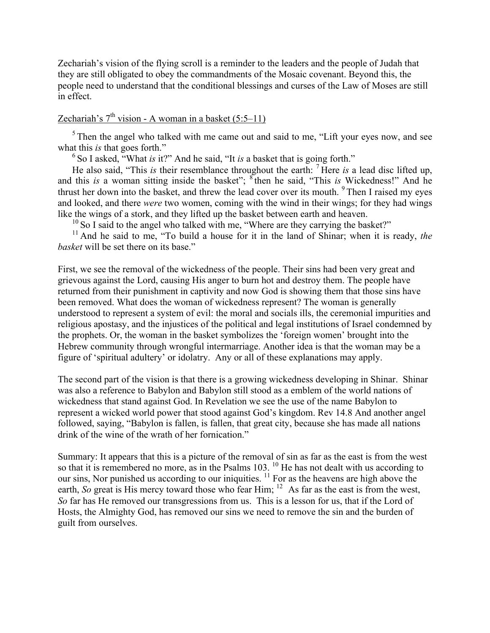Zechariah's vision of the flying scroll is a reminder to the leaders and the people of Judah that they are still obligated to obey the commandments of the Mosaic covenant. Beyond this, the people need to understand that the conditional blessings and curses of the Law of Moses are still in effect.

# Zechariah's  $7<sup>th</sup>$  vision - A woman in a basket (5:5–11)

 $5$  Then the angel who talked with me came out and said to me, "Lift your eyes now, and see what this *is* that goes forth."

<sup>6</sup> So I asked, "What *is* it?" And he said, "It *is* a basket that is going forth."

He also said, "This *is* their resemblance throughout the earth: <sup>7</sup> Here *is* a lead disc lifted up, and this *is* a woman sitting inside the basket"; <sup>8</sup> then he said, "This *is* Wickedness!" And he thrust her down into the basket, and threw the lead cover over its mouth.  $9$  Then I raised my eyes and looked, and there *were* two women, coming with the wind in their wings; for they had wings like the wings of a stork, and they lifted up the basket between earth and heaven.

 $10$  So I said to the angel who talked with me, "Where are they carrying the basket?"

<sup>11</sup> And he said to me, "To build a house for it in the land of Shinar; when it is ready, the *basket* will be set there on its base."

First, we see the removal of the wickedness of the people. Their sins had been very great and grievous against the Lord, causing His anger to burn hot and destroy them. The people have returned from their punishment in captivity and now God is showing them that those sins have been removed. What does the woman of wickedness represent? The woman is generally understood to represent a system of evil: the moral and socials ills, the ceremonial impurities and religious apostasy, and the injustices of the political and legal institutions of Israel condemned by the prophets. Or, the woman in the basket symbolizes the 'foreign women' brought into the Hebrew community through wrongful intermarriage. Another idea is that the woman may be a figure of 'spiritual adultery' or idolatry. Any or all of these explanations may apply.

The second part of the vision is that there is a growing wickedness developing in Shinar. Shinar was also a reference to Babylon and Babylon still stood as a emblem of the world nations of wickedness that stand against God. In Revelation we see the use of the name Babylon to represent a wicked world power that stood against God's kingdom. Rev 14.8 And another angel followed, saying, "Babylon is fallen, is fallen, that great city, because she has made all nations drink of the wine of the wrath of her fornication."

Summary: It appears that this is a picture of the removal of sin as far as the east is from the west so that it is remembered no more, as in the Psalms  $103$ . <sup>10</sup> He has not dealt with us according to our sins, Nor punished us according to our iniquities.<sup>11</sup> For as the heavens are high above the earth, *So* great is His mercy toward those who fear Him; <sup>12</sup> As far as the east is from the west, *So* far has He removed our transgressions from us. This is a lesson for us, that if the Lord of Hosts, the Almighty God, has removed our sins we need to remove the sin and the burden of guilt from ourselves.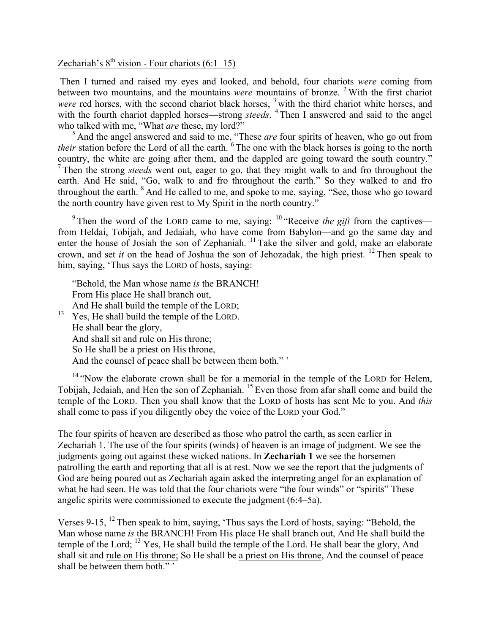# Zechariah's  $8^{th}$  vision - Four chariots (6:1–15)

Then I turned and raised my eyes and looked, and behold, four chariots *were* coming from between two mountains, and the mountains *were* mountains of bronze. <sup>2</sup> With the first chariot *were* red horses, with the second chariot black horses, <sup>3</sup> with the third chariot white horses, and with the fourth chariot dappled horses—strong *steeds*. <sup>4</sup> Then I answered and said to the angel who talked with me, "What *are* these, my lord?"

<sup>5</sup> And the angel answered and said to me, "These *are* four spirits of heaven, who go out from *their* station before the Lord of all the earth. <sup>6</sup> The one with the black horses is going to the north country, the white are going after them, and the dappled are going toward the south country." <sup>7</sup> Then the strong *steeds* went out, eager to go, that they might walk to and fro throughout the earth. And He said, "Go, walk to and fro throughout the earth." So they walked to and fro throughout the earth. <sup>8</sup> And He called to me, and spoke to me, saying, "See, those who go toward the north country have given rest to My Spirit in the north country."

<sup>9</sup> Then the word of the LORD came to me, saying:  $10$  "Receive *the gift* from the captives from Heldai, Tobijah, and Jedaiah, who have come from Babylon—and go the same day and enter the house of Josiah the son of Zephaniah.<sup>11</sup> Take the silver and gold, make an elaborate crown, and set *it* on the head of Joshua the son of Jehozadak, the high priest. <sup>12</sup> Then speak to him, saying, 'Thus says the LORD of hosts, saying:

"Behold, the Man whose name *is* the BRANCH! From His place He shall branch out, And He shall build the temple of the LORD; <sup>13</sup> Yes, He shall build the temple of the LORD. He shall bear the glory, And shall sit and rule on His throne; So He shall be a priest on His throne, And the counsel of peace shall be between them both." '

<sup>14</sup> "Now the elaborate crown shall be for a memorial in the temple of the LORD for Helem, Tobijah, Jedaiah, and Hen the son of Zephaniah. <sup>15</sup> Even those from afar shall come and build the temple of the LORD. Then you shall know that the LORD of hosts has sent Me to you. And *this* shall come to pass if you diligently obey the voice of the LORD your God."

The four spirits of heaven are described as those who patrol the earth, as seen earlier in Zechariah 1. The use of the four spirits (winds) of heaven is an image of judgment. We see the judgments going out against these wicked nations. In **Zechariah 1** we see the horsemen patrolling the earth and reporting that all is at rest. Now we see the report that the judgments of God are being poured out as Zechariah again asked the interpreting angel for an explanation of what he had seen. He was told that the four chariots were "the four winds" or "spirits" These angelic spirits were commissioned to execute the judgment (6:4–5a).

Verses 9-15, <sup>12</sup> Then speak to him, saying, 'Thus says the Lord of hosts, saying: "Behold, the Man whose name *is* the BRANCH! From His place He shall branch out, And He shall build the temple of the Lord; <sup>13</sup> Yes, He shall build the temple of the Lord. He shall bear the glory, And shall sit and rule on His throne; So He shall be a priest on His throne, And the counsel of peace shall be between them both." '